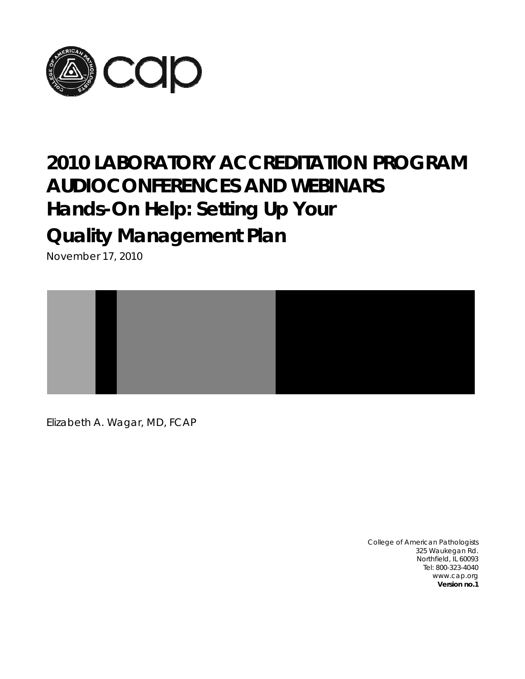

# **2010 LABORATORY ACCREDITATION PROGRAM AUDIOCONFERENCES AND WEBINARS Hands-On Help: Setting Up Your Quality Management Plan**

November 17, 2010



Elizabeth A. Wagar, MD, FCAP

College of American Pathologists 325 Waukegan Rd. Northfield, IL 60093 Tel: 800-323-4040 www.cap.org **Version no.1**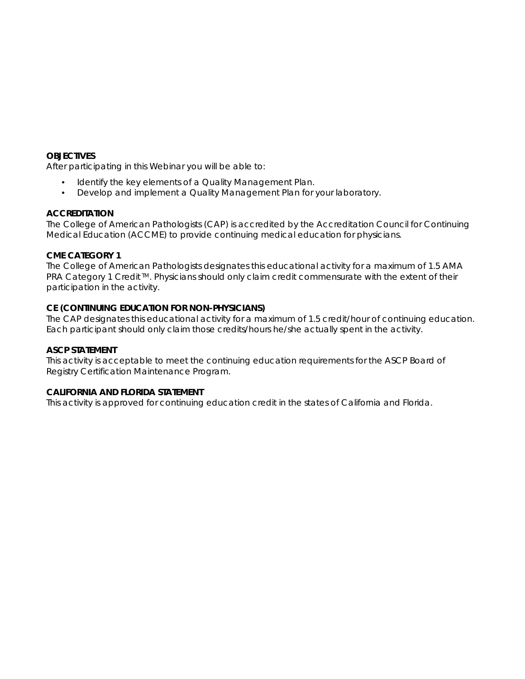# **OBJECTIVES**

After participating in this Webinar you will be able to:

- Identify the key elements of a Quality Management Plan.
- Develop and implement a Quality Management Plan for your laboratory.

# **ACCREDITATION**

The College of American Pathologists (CAP) is accredited by the Accreditation Council for Continuing Medical Education (ACCME) to provide continuing medical education for physicians.

# **CME CATEGORY 1**

The College of American Pathologists designates this educational activity for a maximum of 1.5 *AMA PRA Category 1 Credit™*. Physicians should only claim credit commensurate with the extent of their participation in the activity.

# **CE (CONTINUING EDUCATION FOR NON-PHYSICIANS)**

The CAP designates this educational activity for a maximum of 1.5 credit/hour of continuing education. Each participant should only claim those credits/hours he/she actually spent in the activity.

# **ASCP STATEMENT**

This activity is acceptable to meet the continuing education requirements for the ASCP Board of Registry Certification Maintenance Program.

# **CALIFORNIA AND FLORIDA STATEMENT**

This activity is approved for continuing education credit in the states of California and Florida.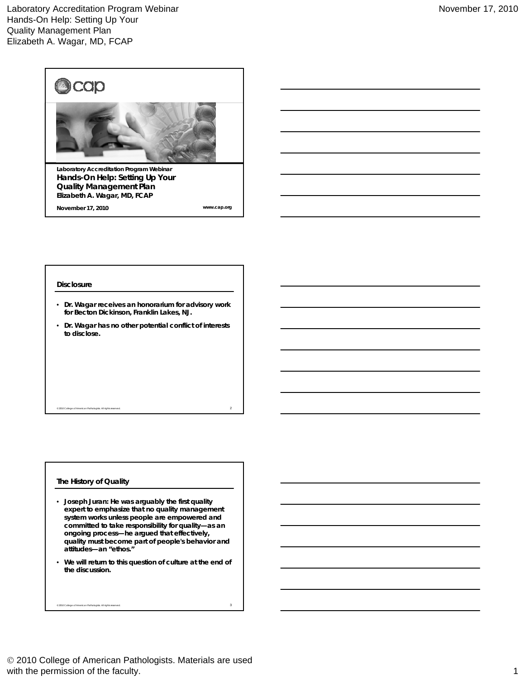

**November 17, 2010**

**www.cap.org**

#### **Disclosure**

- **Dr. Wagar receives an honorarium for advisory work for Becton Dickinson, Franklin Lakes, NJ.**
- **Dr. Wagar has no other potential conflict of interests to disclose.**

 $^{\circ}$  2010 College of American Pathologists. All rights reserved.  $2$ 

# **The History of Quality**

- **Joseph Juran: He was arguably the first quality expert to emphasize that no quality management system works unless people are empowered and committed to take responsibility for quality—as an ongoing process—he argued that effectively,** quality must become part of people's behavior and **attitudes—an "ethos."**
- **We will return to this question of culture at the end of the discussion.**

© 2010 College of American Pathologists. All rights reserved. 3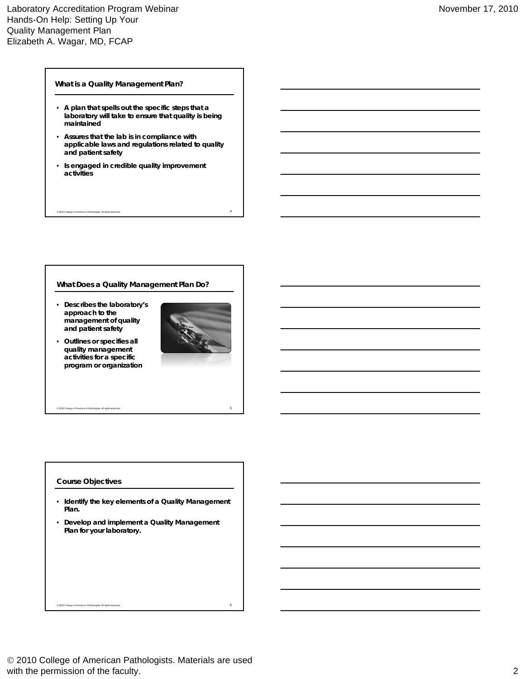# Laboratory Accreditation Program Webinar Hands-On Help: Setting Up Your Quality Management Plan Elizabeth A. Wagar, MD, FCAP

# **What is a Quality Management Plan?**

- **A plan that spells out the specific steps that a laboratory will take to ensure that quality is being maintained**
- **Assures that the lab is in compliance with li bl l d l ti l t d t lit applicable laws and regulations related to quality and patient safety**

 $^6$  2010 College of American Pathologists. All rights reserved.  $4$ 

• **Is engaged in credible quality improvement activities**

# **What Does a Quality Management Plan Do?**

- **Describes the laboratory's approach to the management of quality and patient safety**
- **O tli ifi ll Outlines or specifies all quality management activities for a specific program or organization**



# **Course Objectives**

• **Identify the key elements of a Quality Management Plan.**

© 2010 College of American Pathologists. All rights reserved. 5

• **Develop and implement a Quality Management Plan for your laboratory.**

 $^{\circ}$  2010 College of American Pathologists. All rights reserved. 6  $^{\circ}$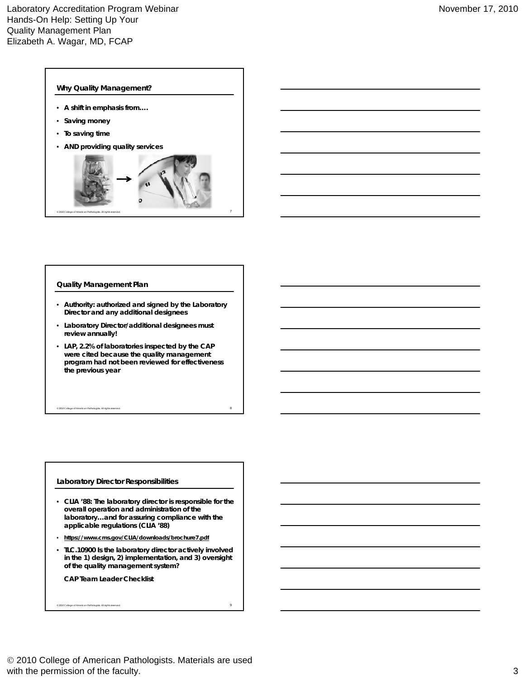

# **Quality Management Plan**

- **Authority: authorized and signed by the Laboratory Director and any additional designees**
- **Laboratory Director/additional designees must review annually!**
- **LAP, 2.2% of laboratories inspected by the CAP were cited because the quality management program had not been reviewed for effectiveness the previous year**

 $^{\circ}$  2010 College of American Pathologists. All rights reserved.  $8$ 

# **Laboratory Director Responsibilities**

- **CLIA '88: The laboratory director is responsible for the overall operation and administration of the laboratory…and for assuring compliance with the applicable regulations (CLIA '88)**
- https://www.cms.gov/CLIA/downloads/brochure7.pdf
- **TLC.10900 Is the laboratory director actively involved in the 1) design, 2) implementation, and 3) oversight of the quality management system?**

© 2010 College of American Pathologists. All rights reserved. 9

**CAP Team Leader Checklist**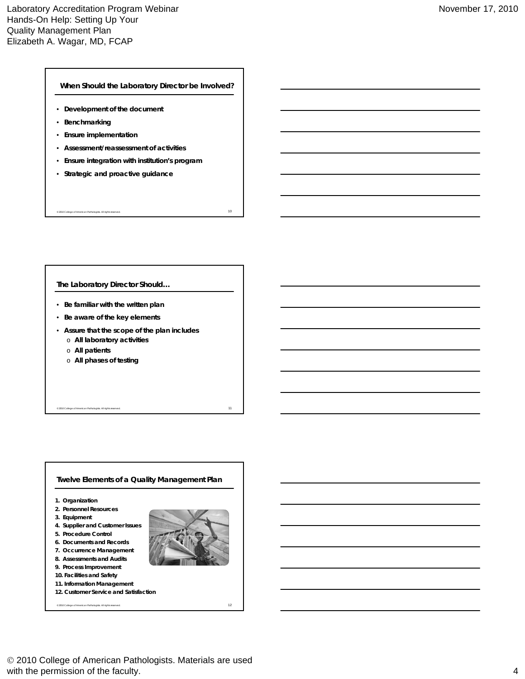**When Should the Laboratory Director be Involved?**

- **Development of the document**
- **Benchmarking**
- **Ensure implementation**
- **Assessment/reassessment of activities**
- **Ensure integration with institution's program**

 $^{\circ}$  2010 College of American Pathologists. All rights reserved.  $10$ 

• **Strategic and proactive guidance**

# **The Laboratory Director Should…**

- **Be familiar with the written plan**
- **Be aware of the key elements**
- **Assure that the scope of the plan includes**
	- **All laboratory activities** o
	- o **All patients**
	- o **All phases of testing**

# **1. Organization 2. Personnel Resources 3. Equipment 4. Supplier and Customer Issues 5. Procedure Control Twelve Elements of a Quality Management Plan 6. Documents and Records 7. Occurrence Management 8. Assessments and Audits 9. Process Improvement 10. Facilities and Safety 11. Information Management 12. Customer Service and Satisfaction**

 $^{\circ}$  2010 College of American Pathologists. All rights reserved.  $12$ 

© 2010 College of American Pathologists. All rights reserved. 11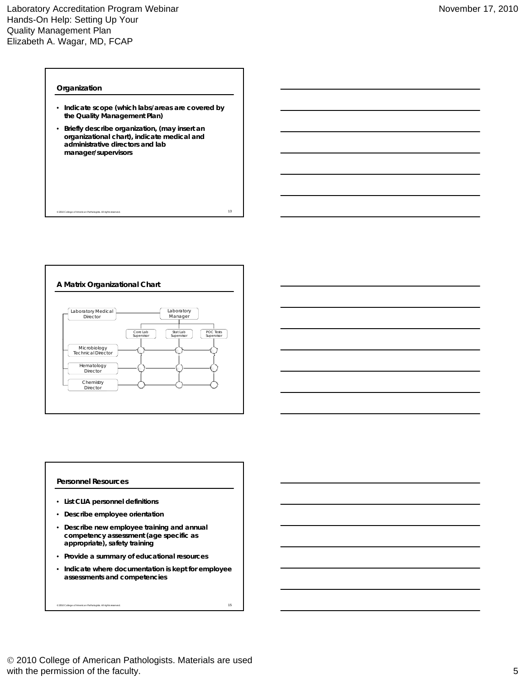### **Organization**

• **Indicate scope (which labs/areas are covered by the Quality Management Plan)**

 $\degree$  2010 College of American Pathologists. All rights reserved.  $13$ 

• **Briefly describe organization, (may insert an organizational chart), indicate medical and d i i t ti di t d l b administrative directors and lab manager/supervisors**



# **Personnel Resources**

- **List CLIA personnel definitions**
- **Describe employee orientation**
- **Describe new employee training and annual competency assessment (age specific as appropriate), safety training**
- **Provide a summary of educational resources**
- **Indicate where documentation is kept for employee assessments and competencies**

 $^{\circ}$  2010 College of American Pathologists. All rights reserved.  $15$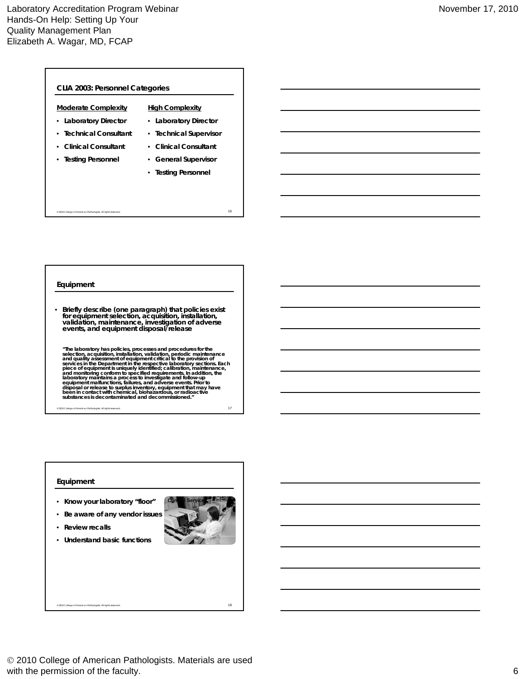| <b>Moderate Complexity</b> | <b>High Complexity</b> |  |
|----------------------------|------------------------|--|
| • Laboratory Director      | • Laboratory Director  |  |
| • Technical Consultant     | • Technical Supervisor |  |
| • Clinical Consultant      | • Clinical Consultant  |  |
| • Testing Personnel        | • General Supervisor   |  |
|                            | • Testing Personnel    |  |

 $^{\circ}$  2010 College of American Pathologists. All rights reserved.  $16$ 

**Equipment**

• **Briefly describe (one paragraph) that policies exist for equipment selection, acquisition, installation, validation, maintenance, investigation of adverse events, and equipment disposal/release**

"The laboratory has policies, processes and procedures for the<br>selection, acquisition, installation, validation, periodic maintenance<br>and quality assessment of equipment critical to the provision of<br>services in the Departm

© 2010 College of American Pathologists. All rights reserved. 17

# **Equipment**

- **Know your laboratory "floor"**
- **Be aware of any vendor issues**
- **Review recalls**
- **Understand basic functions**



 2010 College of American Pathologists. Materials are used with the permission of the faculty. 6

 $^{\circ}$  2010 College of American Pathologists. All rights reserved.  $18$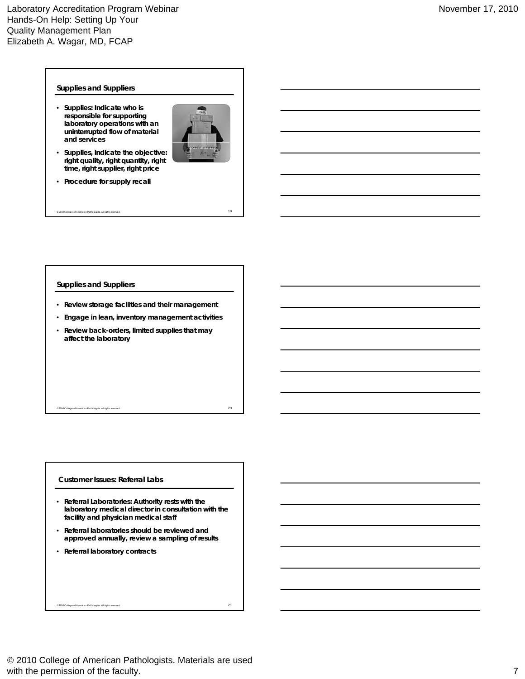#### **Supplies and Suppliers**

• **Supplies: Indicate who is responsible for supporting laboratory operations with an uninterrupted flow of material and services**



- **Supplies, indicate the objective: right quality, right quantity, right time, right supplier, right price**
- **Procedure for supply recall**

#### **Supplies and Suppliers**

• **Review storage facilities and their management**

© 2010 College of American Pathologists. All rights reserved. 19

• **Engage in lean, inventory management activities**

 $^{\circ}$  2010 College of American Pathologists. All rights reserved.  $20$ 

• **Review back-orders, limited supplies that may affect the laboratory**

# **Customer Issues: Referral Labs**

- **Referral Laboratories: Authority rests with the laboratory medical director in consultation with the facility and physician medical staff**
- **Referral laboratories should be reviewed and d ll i li f lt approved annually, review a sampling of results**
- **Referral laboratory contracts**

 $^{\circ}$  2010 College of American Pathologists. All rights reserved.  $21$ 

 2010 College of American Pathologists. Materials are used with the permission of the faculty. The state of the faculty of the faculty of the faculty of the faculty of the faculty of the faculty of the faculty of the faculty of the faculty of the faculty of the faculty of the facu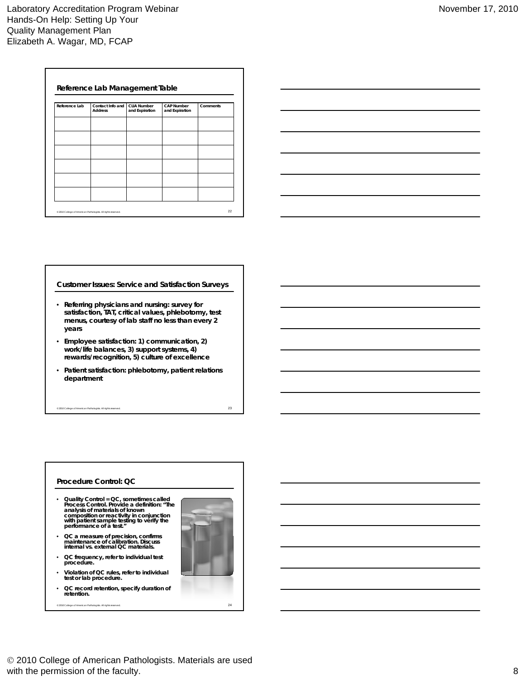| Reference Lab | Contact Info and<br><b>Address</b> | <b>CLIA Number</b><br>and Expiration | <b>CAP Number</b><br>and Expiration | Comments |
|---------------|------------------------------------|--------------------------------------|-------------------------------------|----------|
|               |                                    |                                      |                                     |          |
|               |                                    |                                      |                                     |          |
|               |                                    |                                      |                                     |          |
|               |                                    |                                      |                                     |          |
|               |                                    |                                      |                                     |          |
|               |                                    |                                      |                                     |          |
|               |                                    |                                      |                                     |          |



#### **Customer Issues: Service and Satisfaction Surveys**

- **Referring physicians and nursing: survey for satisfaction, TAT, critical values, phlebotomy, test menus, courtesy of lab staff no less than every 2 years**
- Employee satisfaction: 1) communication, 2) work/life balances, 3) support systems, 4) **rewards/recognition, 5) culture of excellence**
- **Patient satisfaction: phlebotomy, patient relations department**

© 2010 College of American Pathologists. All rights reserved. 23

# **Procedure Control: QC**

- **Quality Control = QC, sometimes called Process Control. Provide a definition: "The analysis of materials of known composition or reactivity in conjunction with patient sample testing to verify the performance of a test."**
- **QC a measure of precision confirms precision, maintenance of calibration. Discuss internal vs. external QC materials.**
- **QC frequency, refer to individual test procedure.**
- **Violation of QC rules, refer to individual test or lab procedure.**
- **QC record retention, specify duration of retention.**



 $^{\circ}$  2010 College of American Pathologists. All rights reserved.  $24$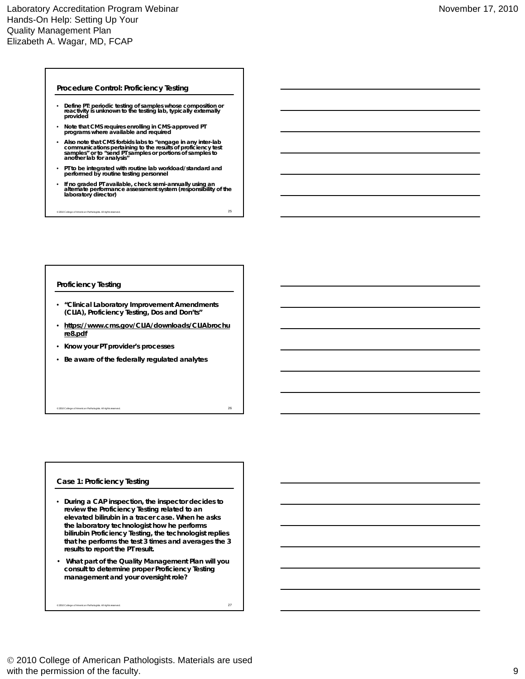#### **Procedure Control: Proficiency Testing**

- **Define PT: periodic testing of samples whose composition or reactivity is unknown to the testing lab, typically externally provided**
- **Note that CMS requires enrolling in CMS-approved PT programs where available and required**
- Also note that CMS forbids labs to "engage in any inter-lab<br>communications pertaining to the results of proficiency test<br>samples" or to "send PT samples or portions of samples to **another lab for analysis"**
- **PT to be integrated with routine lab workload/standard and performed by routine testing personnel**
- **If no graded PT available, check semi-annually using an alternate performance assessment system (responsibility of the laboratory director)**

 $\circ$  2010 College of American Pathologists. All rights reserved.  $25$ 

## **Proficiency Testing**

- **"Clinical Laboratory Improvement Amendments (CLIA), Proficiency Testing, Dos and Don'ts"**
- **https://www.cms.gov/CLIA/downloads/CLIAbrochu re8.pdf**

 $^{\circ}$  2010 College of American Pathologists. All rights reserved.  $26$ 

- **Know your PT provider's processes**
- **Be aware of the federally regulated analytes**

#### **Case 1: Proficiency Testing**

- **During a CAP inspection, the inspector decides to review the Proficiency Testing related to an elevated bilirubin in a tracer case. When he asks the laboratory technologist how he performs bilirubin Proficiency Testing, the technologist replies y g, g p that he performs the test 3 times and averages the 3 results to report the PT result.**
- **What part of the Quality Management Plan will you consult to determine proper Proficiency Testing management and your oversight role?**

 $^{\circ}$  2010 College of American Pathologists. All rights reserved.  $27$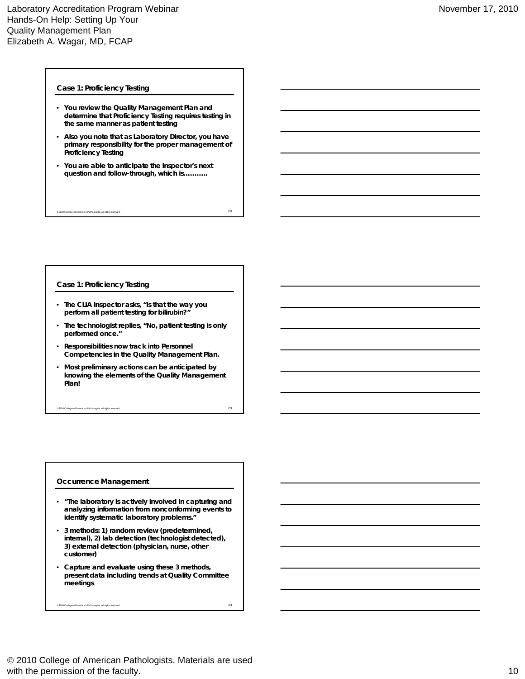# **Case 1: Proficiency Testing**

- **You review the Quality Management Plan and determine that Proficiency Testing requires testing in the same manner as patient testing**
- **Also you note that as Laboratory Director, you have i ibilit f th t f primary responsibility for the proper management of Proficiency Testing**

 $^{\circ}$  2010 College of American Pathologists. All rights reserved.  $28$ 

• **You are able to anticipate the inspector's next question and follow-through, which is………..**

# **Case 1: Proficiency Testing**

- **The CLIA inspector asks, "Is that the way you perform all patient testing for bilirubin?"**
- **The technologist replies, "No, patient testing is only performed once."**
- **Responsibilities now track into Personnel Competencies in the Quality Management Plan.**
- **Most preliminary actions can be anticipated by knowing the elements of the Quality Management Plan!**

© 2010 College of American Pathologists. All rights reserved. 29

# **Occurrence Management**

- **"The laboratory is actively involved in capturing and analyzing information from nonconforming events to identify systematic laboratory problems."**
- **3 methods: 1) random review (predetermined, internal), 2)** lab detection (technologist detected), **3) external detection (physician, nurse, other customer)**
- **Capture and evaluate using these 3 methods, present data including trends at Quality Committee meetings**

 $^{\circ}$  2010 College of American Pathologists. All rights reserved.  $30$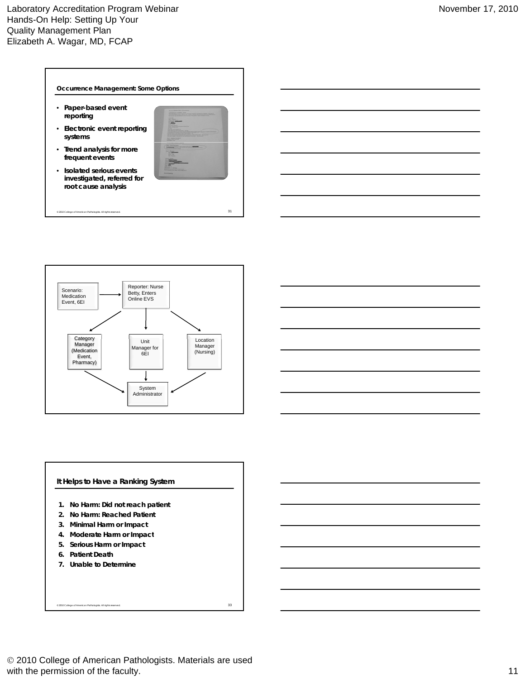



 $\degree$  2010 College of American Pathologists. All rights reserved.  $31$ 

# **It Helps to Have a Ranking System**

- **1. No Harm: Did not reach patient**
- **2. No Harm: Reached Patient**
- **3. Minimal Harm or Impact**
- **4. Moderate Harm or Impact**
- **5. Serious Harm or Impact**
- **6. Patient Death**
- **7. Unable to Determine**

© 2010 College of American Pathologists. All rights reserved. 33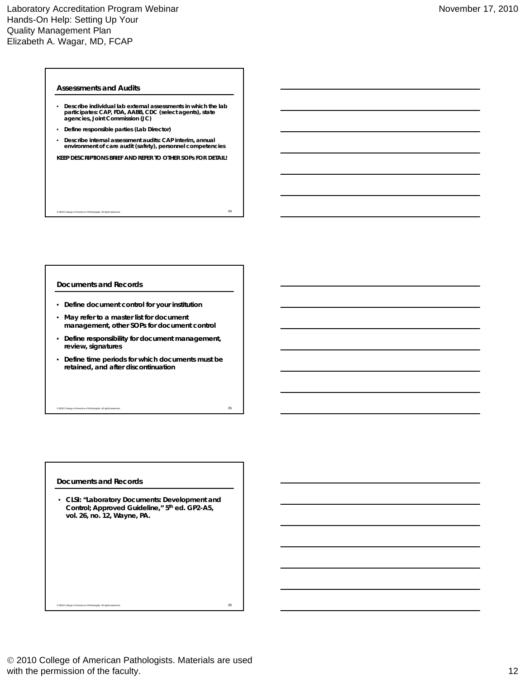# **Assessments and Audits**

- **Describe individual lab external assessments in which the lab participates: CAP, FDA, AABB, CDC (select agents), state agencies, Joint Commission (JC)**
- **Define responsible parties (Lab Director)**
- **Describe internal assessment audits: CAP interim, annual environment of care audit (safety), personnel competencies**

**KEEP DESCRIPTIONS BRIEF AND REFER TO OTHER SOPs FOR DETAIL!**

 $^{\circ}$  2010 College of American Pathologists. All rights reserved.  $34$ 

#### **Documents and Records**

- **Define document control for your institution**
- **May refer to a master list for document management, other SOPs for document control**
- **Define responsibility for document management r management, review, signatures**
- **Define time periods for which documents must be retained, and after discontinuation**

 $^{\circ}$  2010 College of American Pathologists. All rights reserved.  $35$ 

#### **Documents and Records**

• **CLSI: "Laboratory Documents: Development and Control; Approved Guideline," 5th ed. GP2-A5, vol. 26, no. 12, Wayne, PA.**

 $^{\circ}$  2010 College of American Pathologists. All rights reserved.  $36$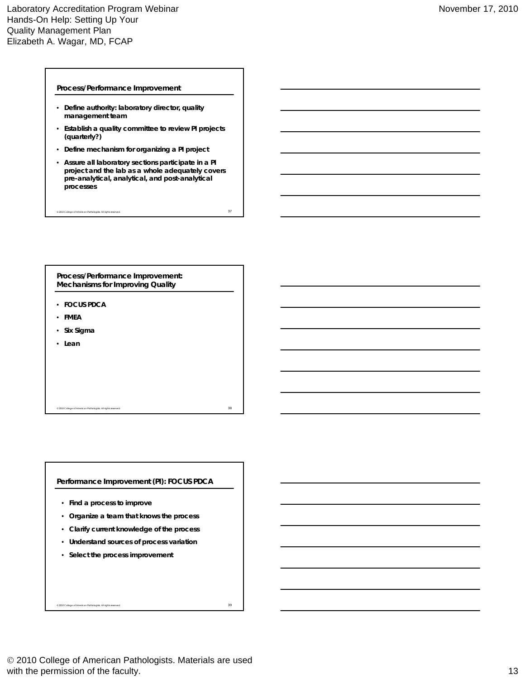#### **Process/Performance Improvement**

- **Define authority: laboratory director, quality management team**
- **Establish a quality committee to review PI projects (quarterly?)**
- **Define mechanism for organizing a PI project**
- **Assure all laboratory sections participate in a PI project and the lab as a whole adequately covers pre-analytical, analytical, and post-analytical processes**

 $^{\circ}$  2010 College of American Pathologists. All rights reserved.  $37$ 

**Process/Performance Improvement: Mechanisms for Improving Quality**

- **FOCUS PDCA**
- **FMEA**
- **Six Sigma**
- **Lean**

**Performance Improvement (PI): FOCUS PDCA**

 $^{\circ}$  2010 College of American Pathologists. All rights reserved.  $38$ 

- **Find a process to improve**
- **Organize a team that knows the process**
- **Clarify current knowledge of the process**
- **Understand sources of process variation**
- **Select the process improvement**

© 2010 College of American Pathologists. All rights reserved. 39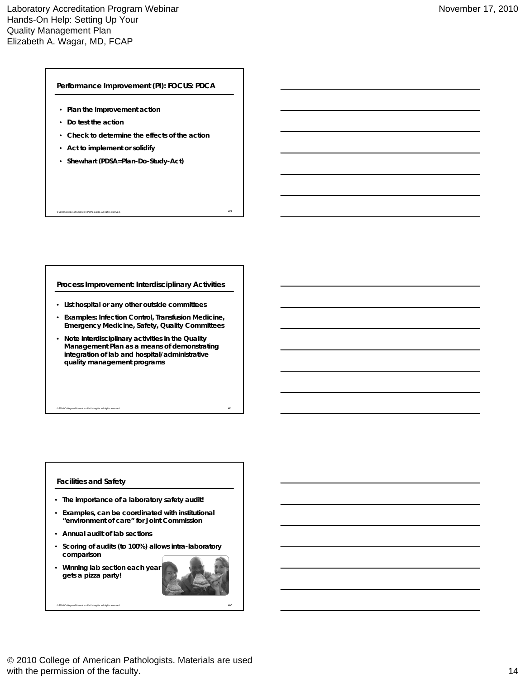**Performance Improvement (PI): FOCUS: PDCA**

- **Plan the improvement action**
- **Do test the action**
- **Check to determine the effects of the action**
- **Act to implement or solidify**
- **Shewhart (PDSA=Plan-Do-Study-Act)**

**Process Improvement: Interdisciplinary Activities**

 $^{\circ}$  2010 College of American Pathologists. All rights reserved.  $40$ 

- **List hospital or any other outside committees**
- **Examples: Infection Control, Transfusion Medicine, Emergency Medicine, Safety, Quality Committees**
- **Note interdisciplinary activities in the Quality Management Plan as a means of demonstrating integration of lab and hospital/administrative quality management programs**

 $^{\circ}$  2010 College of American Pathologists. All rights reserved.  $41$ 

# **Facilities and Safety**

- **The importance of a laboratory safety audit!**
- **Examples, can be coordinated with institutional "environment of care" for Joint Commission**
- **Annual audit of lab sections**
- **Scoring of audits (to 100%) allows intra-laboratory comparison**

 $^{\circ}$  2010 College of American Pathologists. All rights reserved.  $42$ 

• **Winning lab section each year gets a pizza party!**

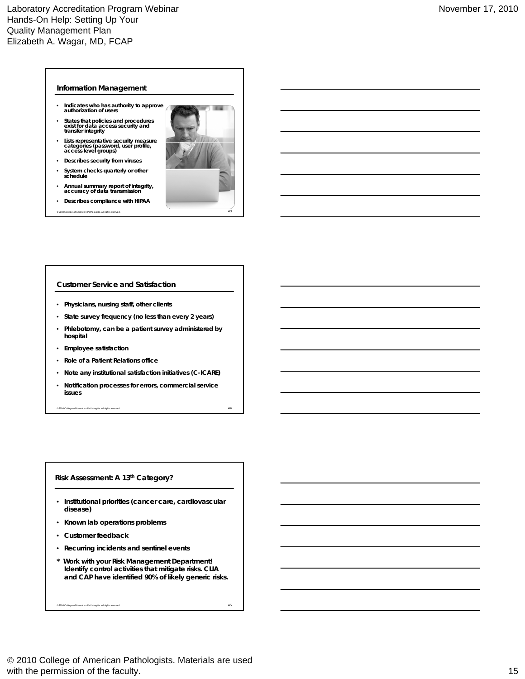## **Information Management**

- **Indicates who has authority to approve authorization of users**
- **States that policies and procedures exist for data access security and transfer integrity**
- **Lists representative security measure categories (password, user profile, access level groups)**
- **Describes security from viruses**
- **System checks quarterly or other schedule**
- **Annual summary report of integrity, accuracy of data transmission**
- **Describes compliance with HIPAA**



# **Customer Service and Satisfaction**

- **Physicians, nursing staff, other clients**
- **State survey frequency (no less than every 2 years)**
- **Phlebotomy, can be a patient survey administered by hospital**
- **Employee satisfaction**
- **Role of a Patient Relations office**
- **Note any institutional satisfaction initiatives (C-ICARE)**
- **Notification processes for errors, commercial service issues**

© 2010 College of American Pathologists. All rights reserved. 44

# **Risk Assessment: A 13th Category?**

- **Institutional priorities (cancer care, cardiovascular disease)**
- **Known lab operations problems**
- **Customer feedback**
- **Recurring incidents and sentinel events**
- **\* Work with your Risk Management Department! Identify control activities that mitigate risks. CLIA and CAP have identified 90% of likely generic risks.**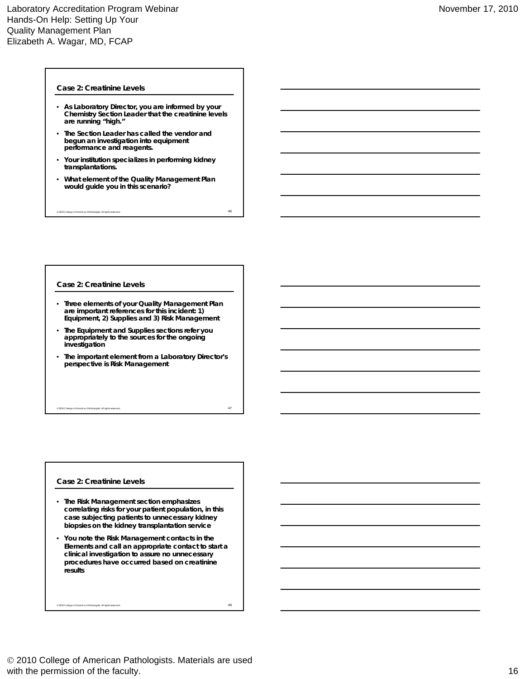### **Case 2: Creatinine Levels**

- **As Laboratory Director, you are informed by your Chemistry Section Leader that the creatinine levels are running "high."**
- **The Section Leader has called the vendor and begun an investigation into equipment performance and reagents.**
- **Your institution specializes in performing kidney transplantations.**
- **What element of the Quality Management Plan would guide you in this scenario?**

 $^{\circ}$  2010 College of American Pathologists. All rights reserved.  $^{46}$ 

#### **Case 2: Creatinine Levels**

- **Three elements of your Quality Management Plan are important references for this incident: 1) Equipment, 2) Supplies and 3) Risk Management**
- **The Equipment and Supplies sections refer you appropriately to the sources for the ongoing investigation**
- **The important element from a Laboratory Director's perspective is Risk Management**

 $^{\circ}$  2010 College of American Pathologists. All rights reserved.  $47$ 

#### **Case 2: Creatinine Levels**

- **The Risk Management section emphasizes correlating risks for your patient population, in this case subjecting patients to unnecessary kidney biopsies on the kidney transplantation service**
- **You note the Risk Management contacts in the Elements and call an appropriate contact to start a clinical investigation to assure no unnecessary procedures have occurred based on creatinine results**

 $^{\circ}$  2010 College of American Pathologists. All rights reserved.  $^{48}$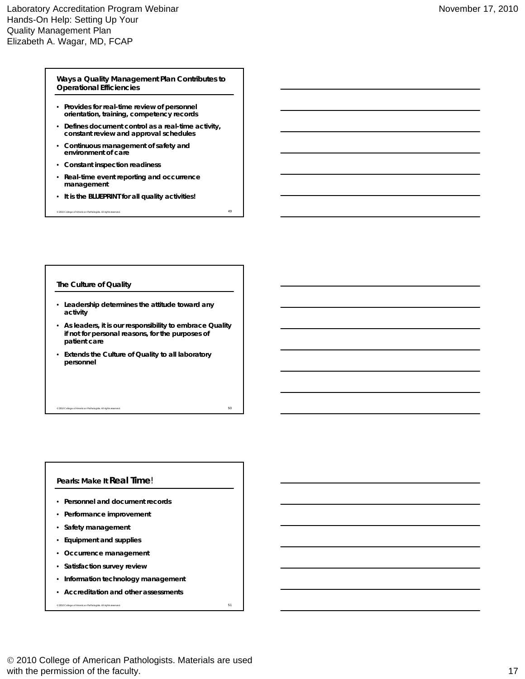# **Ways a Quality Management Plan Contributes to Operational Efficiencies**

- **Provides for real-time review of personnel orientation, training, competency records**
- **Defines document control as a real-time activity, constant review and approval schedules**
- **Continuous management of safety and environment of care**
- **Constant inspection readiness**
- **Real-time event reporting and occurrence management**
- **It is the BLUEPRINT for all quality activities!**

© 2010 College of American Pathologists. All rights reserved. 49

# **The Culture of Quality**

- **Leadership determines the attitude toward any activity**
- **As leaders, it is our responsibility to embrace Quality if not for personal reasons, for the purposes of ti t patient care**

 $^{\circ}$  2010 College of American Pathologists. All rights reserved.  $50$ 

• **Extends the Culture of Quality to all laboratory personnel**

# **Pearls: Make It** *Real Time*!

- **Personnel and document records**
- **Performance improvement**
- **Safety management**
- **Equipment and supplies**
- **Occurrence management**
- **Satisfaction survey review**
- **Information technology management**
- **Accreditation and other assessments**

 $\degree$  2010 College of American Pathologists. All rights reserved.  $51$ 

 2010 College of American Pathologists. Materials are used with the permission of the faculty. 17 and the set of the faculty of the faculty of the faculty.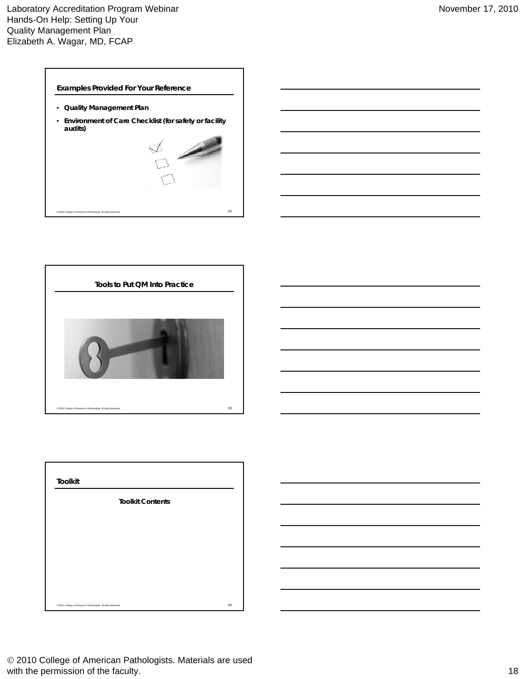

- **Quality Management Plan**
- **Environment of Care Checklist (for safety or facility audits)**





| <b>Toolkit</b>                                                |    |
|---------------------------------------------------------------|----|
| <b>Toolkit Contents</b>                                       |    |
|                                                               |    |
|                                                               |    |
|                                                               |    |
|                                                               |    |
| @ 2010 College of American Pathologists. All rights reserved. | 54 |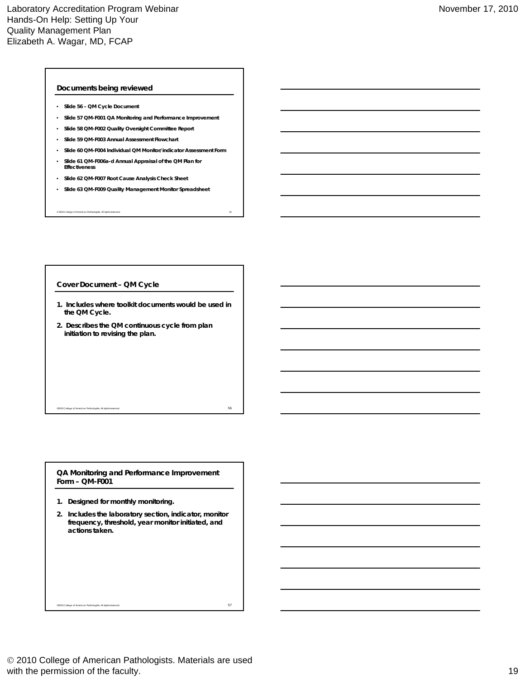### **Documents being reviewed**

- **Slide 56 QM Cycle Document**
- **Slide 57 QM-F001 QA Monitoring and Performance Improvement**
- **Slide 58 QM-F002 Quality Oversight Committee Report**
- **Slide 59 QM-F003 Annual Assessment Flowchart**
- **Slide 60 QM-F004 Individual QM Monitor/indicator Assessment Form**
- **Slide 61 QM-F006a-d Annual Appraisal of the QM Plan for Effectiveness**
- **Slide 62 QM-F007 Root Cause Analysis Check Sheet**
- **Slide 63 QM-F009 Quality Management Monitor Spreadsheet**

© 2010 College of American Pathologists. All rights reserved. 55

#### **Cover Document – QM Cycle**

- **1. Includes where toolkit documents would be used in the QM Cycle.**
- **2. Describes the QM continuous cycle from plan initiation to revising the plan.**

 $\,$  = 2010 College of American Pathologists. All rights reserved.  $\,$  56  $\,$ 

**QA Monitoring and Performance Improvement Form – QM-F001**

- **1. Designed for monthly monitoring.**
- **2. Includes the laboratory section, indicator, monitor frequency, threshold, year monitor initiated, and actions taken.**

 $\sim$  2010 College of American Pathologists. All rights reserved.  $57$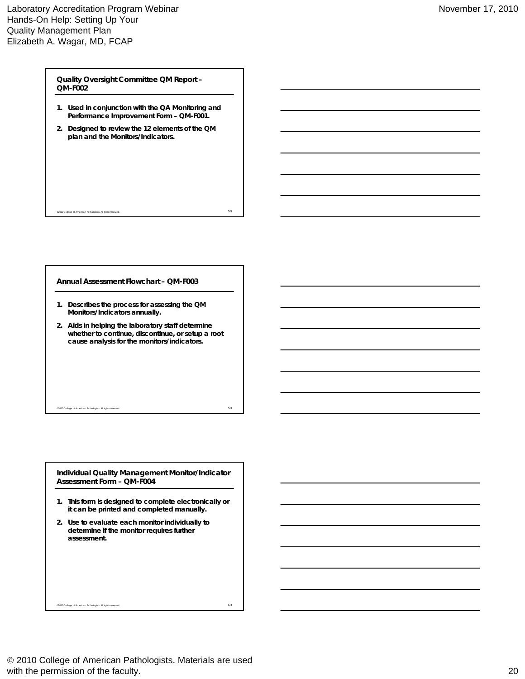**Quality Oversight Committee QM Report – QM-F002**

- **1. Used in conjunction with the QA Monitoring and Performance Improvement Form – QM-F001.**
- **2. Designed to review the 12 elements of the QM plan and the Monitors/Indicators.**

©2010 College of American Pathologists. All rights reserved. 58

**Annual Assessment Flowchart – QM-F003**

- **1. Describes the process for assessing the QM Monitors/Indicators annually.**
- **2. Aids in helping the laboratory staff determine whether to continue, discontinue, or setup a root**  cause analysis for the monitors/indicators.

**Individual Quality Management Monitor/Indicator Assessment Form – QM-F004**

 $\sim$  2010 College of American Pathologists. All rights reserved.  $59$ 

- **1. This form is designed to complete electronically or it can be printed and completed manually.**
- **2. Use to evaluate each monitor individually to determine if the monitor requires further assessment.**

 2010 College of American Pathologists. Materials are used with the permission of the faculty. 20

 $^{\circ}$ 2010 College of American Pathologists. All rights reserved. 60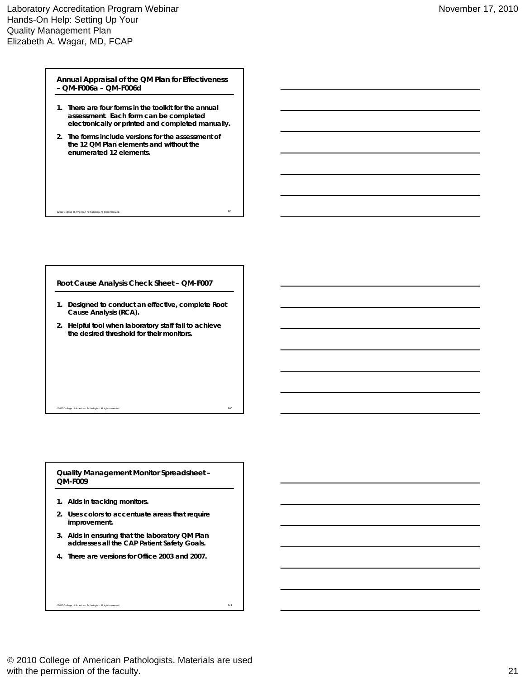**Annual Appraisal of the QM Plan for Effectiveness – QM-F006a – QM-F006d**

- **1. There are four forms in the toolkit for the annual assessment. Each form can be completed electronically or printed and completed manually.**
- **2. The forms include versions for the assessment of the 12 QM Plan elements and without the enumerated 12 elements.**

 $\degree$ 2010 College of American Pathologists. All rights reserved. 61

**Root Cause Analysis Check Sheet – QM-F007**

- **1. Designed to conduct an effective, complete Root Cause Analysis (RCA).**
- **2. Helpful tool when laboratory staff fail to achieve the desired threshold for their monitors.**

 $^{\circ}$ 2010 College of American Pathologists. All rights reserved. 62  $^{\circ}$ 

**Quality Management Monitor Spreadsheet – QM-F009**

- **1. Aids in tracking monitors.**
- **2. Uses colors to accentuate areas that require improvement.**
- **3. Aids in ensuring that the laboratory QM Plan addresses all the CAP Patient Safety Goals.**
- **4. There are versions for Office 2003 and 2007.**

 $^{\circ}$ 2010 College of American Pathologists. All rights reserved. 63

 2010 College of American Pathologists. Materials are used with the permission of the faculty. 21 and 20 and 20 and 20 and 20 and 20 and 20 and 20 and 20 and 21 and 21 and 21 and 21 and 21 and 21 and 21 and 20 and 20 and 20 and 20 and 20 and 20 and 20 and 20 and 20 and 20 and 20 a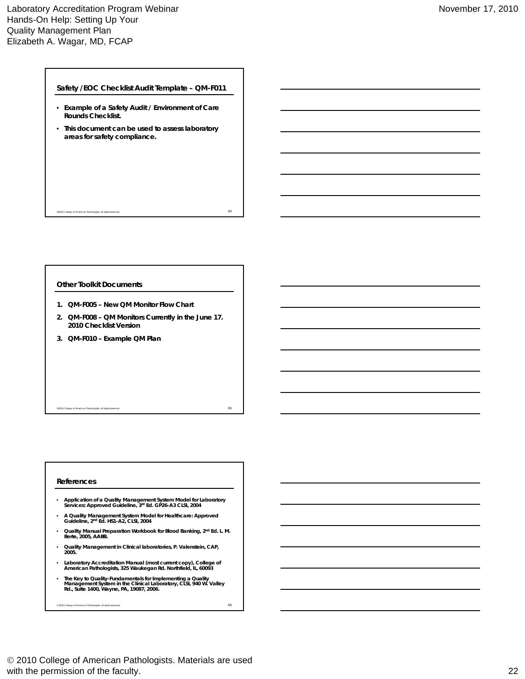**Safety /EOC Checklist Audit Template – QM-F011**

- **Example of a Safety Audit / Environment of Care Rounds Checklist.**
- **This document can be used to assess laboratory areas for safety compliance.**

 $^{\circ}$ 2010 College of American Pathologists. All rights reserved. 64  $^{\circ}$ 

# **Other Toolkit Documents**

- **1. QM-F005 New QM Monitor Flow Chart**
- **2. QM-F008 QM Monitors Currently in the June 17. 2010 Checklist Version**
- **3. QM-F010 – Example QM Plan**

#### $\epsilon$  = 0.010 College of American Pathologists. All rights reserved. 65  $\epsilon$  65  $\epsilon$  65  $\epsilon$  65  $\epsilon$  65  $\epsilon$  65  $\epsilon$  65  $\epsilon$  65  $\epsilon$  65  $\epsilon$  65  $\epsilon$  65  $\epsilon$  65  $\epsilon$  65  $\epsilon$  65  $\epsilon$  65  $\epsilon$  65  $\epsilon$  65  $\epsilon$  65  $\epsilon$  65  $\epsilon$  6

# **References**

- **Application of a Quality Management System Model for Laboratory Services: Approved Guideline, 3rd Ed. GP26-A3 CLSI, 2004**
- **A Quality Management System Model for Healthcare: Approved Guideline, 2nd Ed. HS1-A2, CLSI, 2004**
- **Cuality Manual Preparation Workbook for Blood Banking, 2<sup>nd</sup> Ed. L. M.<br>Berte, 2005, AABB.**
- **Quality Management in Clinical laboratories, P. Valenstein, CAP, 2005.**
- **Laboratory Accreditation Manual (most current copy), College of American Pathologists, 325 Waukegan Rd. Northfield, IL, 60093**
- **The Key to Quality-Fundamentals for Implementing a Quality Management System in the Clinical Laboratory, CLSI, 940 W. Valley Rd., Suite 1400, Wayne, PA, 19087, 2006.**

 $^{\circ}$  2010 College of American Pathologists. All rights reserved. 66  $^{\circ}$